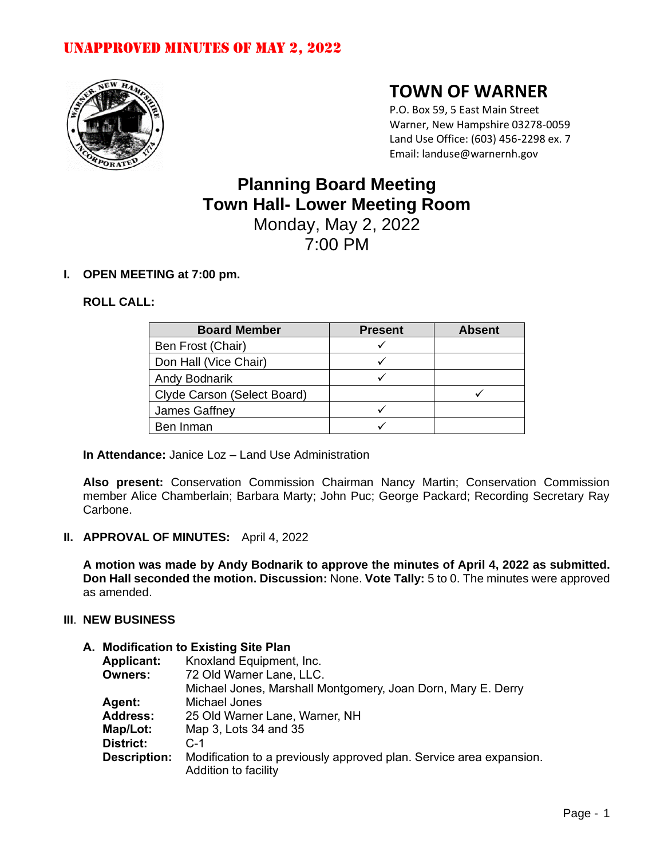

# **TOWN OF WARNER**

P.O. Box 59, 5 East Main Street Warner, New Hampshire 03278-0059 Land Use Office: (603) 456-2298 ex. 7 Email: landuse@warnernh.gov

# **Planning Board Meeting Town Hall- Lower Meeting Room** Monday, May 2, 2022 7:00 PM

## **I. OPEN MEETING at 7:00 pm.**

### **ROLL CALL:**

| <b>Board Member</b>         | <b>Present</b> | <b>Absent</b> |
|-----------------------------|----------------|---------------|
| Ben Frost (Chair)           |                |               |
| Don Hall (Vice Chair)       |                |               |
| <b>Andy Bodnarik</b>        |                |               |
| Clyde Carson (Select Board) |                |               |
| James Gaffney               |                |               |
| Ben Inman                   |                |               |

**In Attendance:** Janice Loz – Land Use Administration

**Also present:** Conservation Commission Chairman Nancy Martin; Conservation Commission member Alice Chamberlain; Barbara Marty; John Puc; George Packard; Recording Secretary Ray Carbone.

**II. APPROVAL OF MINUTES:** April 4, 2022

**A motion was made by Andy Bodnarik to approve the minutes of April 4, 2022 as submitted. Don Hall seconded the motion. Discussion:** None. **Vote Tally:** 5 to 0. The minutes were approved as amended.

#### **III**. **NEW BUSINESS**

## **A. Modification to Existing Site Plan**

| <b>Applicant:</b>   | Knoxland Equipment, Inc.                                            |
|---------------------|---------------------------------------------------------------------|
| <b>Owners:</b>      | 72 Old Warner Lane, LLC.                                            |
|                     | Michael Jones, Marshall Montgomery, Joan Dorn, Mary E. Derry        |
| <b>Agent:</b>       | Michael Jones                                                       |
| <b>Address:</b>     | 25 Old Warner Lane, Warner, NH                                      |
| Map/Lot:            | Map 3, Lots 34 and 35                                               |
| <b>District:</b>    | $C-1$                                                               |
| <b>Description:</b> | Modification to a previously approved plan. Service area expansion. |
|                     | Addition to facility                                                |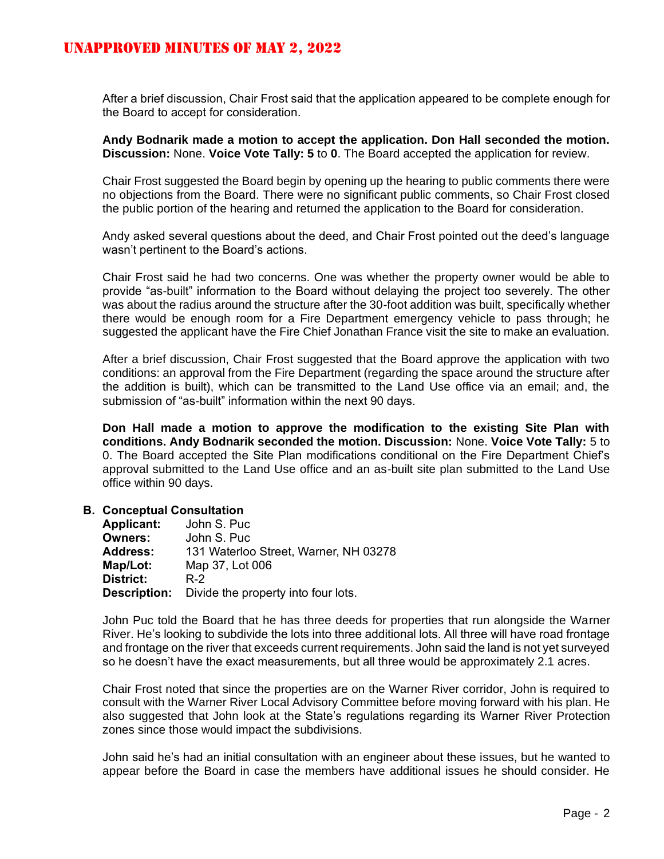After a brief discussion, Chair Frost said that the application appeared to be complete enough for the Board to accept for consideration.

**Andy Bodnarik made a motion to accept the application. Don Hall seconded the motion. Discussion:** None. **Voice Vote Tally: 5** to **0**. The Board accepted the application for review.

Chair Frost suggested the Board begin by opening up the hearing to public comments there were no objections from the Board. There were no significant public comments, so Chair Frost closed the public portion of the hearing and returned the application to the Board for consideration.

Andy asked several questions about the deed, and Chair Frost pointed out the deed's language wasn't pertinent to the Board's actions.

Chair Frost said he had two concerns. One was whether the property owner would be able to provide "as-built" information to the Board without delaying the project too severely. The other was about the radius around the structure after the 30-foot addition was built, specifically whether there would be enough room for a Fire Department emergency vehicle to pass through; he suggested the applicant have the Fire Chief Jonathan France visit the site to make an evaluation.

After a brief discussion, Chair Frost suggested that the Board approve the application with two conditions: an approval from the Fire Department (regarding the space around the structure after the addition is built), which can be transmitted to the Land Use office via an email; and, the submission of "as-built" information within the next 90 days.

**Don Hall made a motion to approve the modification to the existing Site Plan with conditions. Andy Bodnarik seconded the motion. Discussion:** None. **Voice Vote Tally:** 5 to 0. The Board accepted the Site Plan modifications conditional on the Fire Department Chief's approval submitted to the Land Use office and an as-built site plan submitted to the Land Use office within 90 days.

#### **B. Conceptual Consultation**

| <b>Applicant:</b>   | John S. Puc                           |
|---------------------|---------------------------------------|
| <b>Owners:</b>      | John S. Puc                           |
| <b>Address:</b>     | 131 Waterloo Street, Warner, NH 03278 |
| Map/Lot:            | Map 37, Lot 006                       |
| <b>District:</b>    | R-2                                   |
| <b>Description:</b> | Divide the property into four lots.   |

John Puc told the Board that he has three deeds for properties that run alongside the Warner River. He's looking to subdivide the lots into three additional lots. All three will have road frontage and frontage on the river that exceeds current requirements. John said the land is not yet surveyed so he doesn't have the exact measurements, but all three would be approximately 2.1 acres.

Chair Frost noted that since the properties are on the Warner River corridor, John is required to consult with the Warner River Local Advisory Committee before moving forward with his plan. He also suggested that John look at the State's regulations regarding its Warner River Protection zones since those would impact the subdivisions.

John said he's had an initial consultation with an engineer about these issues, but he wanted to appear before the Board in case the members have additional issues he should consider. He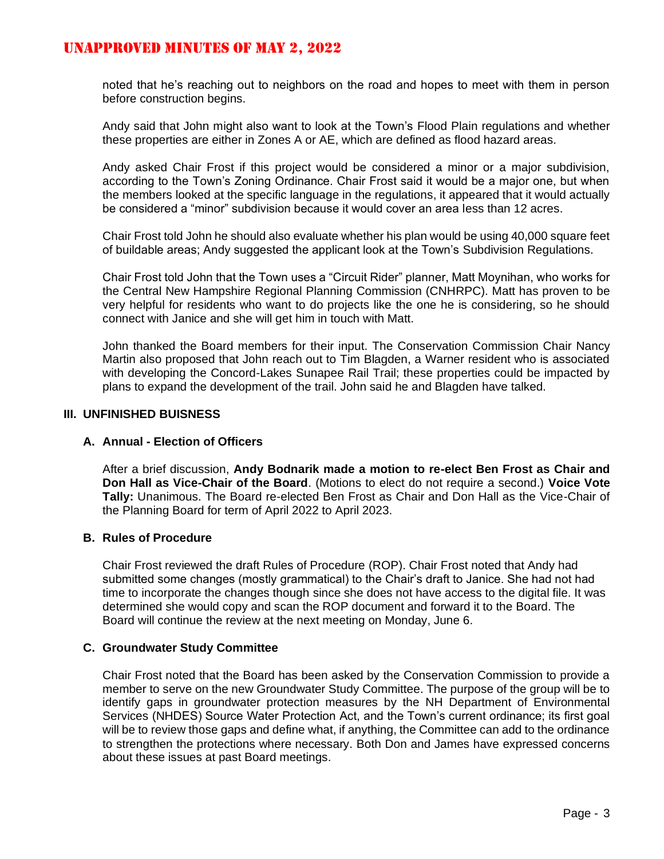noted that he's reaching out to neighbors on the road and hopes to meet with them in person before construction begins.

Andy said that John might also want to look at the Town's Flood Plain regulations and whether these properties are either in Zones A or AE, which are defined as flood hazard areas.

Andy asked Chair Frost if this project would be considered a minor or a major subdivision, according to the Town's Zoning Ordinance. Chair Frost said it would be a major one, but when the members looked at the specific language in the regulations, it appeared that it would actually be considered a "minor" subdivision because it would cover an area less than 12 acres.

Chair Frost told John he should also evaluate whether his plan would be using 40,000 square feet of buildable areas; Andy suggested the applicant look at the Town's Subdivision Regulations.

Chair Frost told John that the Town uses a "Circuit Rider" planner, Matt Moynihan, who works for the Central New Hampshire Regional Planning Commission (CNHRPC). Matt has proven to be very helpful for residents who want to do projects like the one he is considering, so he should connect with Janice and she will get him in touch with Matt.

John thanked the Board members for their input. The Conservation Commission Chair Nancy Martin also proposed that John reach out to Tim Blagden, a Warner resident who is associated with developing the Concord-Lakes Sunapee Rail Trail; these properties could be impacted by plans to expand the development of the trail. John said he and Blagden have talked.

#### **III. UNFINISHED BUISNESS**

#### **A. Annual - Election of Officers**

After a brief discussion, **Andy Bodnarik made a motion to re-elect Ben Frost as Chair and Don Hall as Vice-Chair of the Board**. (Motions to elect do not require a second.) **Voice Vote Tally:** Unanimous. The Board re-elected Ben Frost as Chair and Don Hall as the Vice-Chair of the Planning Board for term of April 2022 to April 2023.

#### **B. Rules of Procedure**

Chair Frost reviewed the draft Rules of Procedure (ROP). Chair Frost noted that Andy had submitted some changes (mostly grammatical) to the Chair's draft to Janice. She had not had time to incorporate the changes though since she does not have access to the digital file. It was determined she would copy and scan the ROP document and forward it to the Board. The Board will continue the review at the next meeting on Monday, June 6.

#### **C. Groundwater Study Committee**

Chair Frost noted that the Board has been asked by the Conservation Commission to provide a member to serve on the new Groundwater Study Committee. The purpose of the group will be to identify gaps in groundwater protection measures by the NH Department of Environmental Services (NHDES) Source Water Protection Act, and the Town's current ordinance; its first goal will be to review those gaps and define what, if anything, the Committee can add to the ordinance to strengthen the protections where necessary. Both Don and James have expressed concerns about these issues at past Board meetings.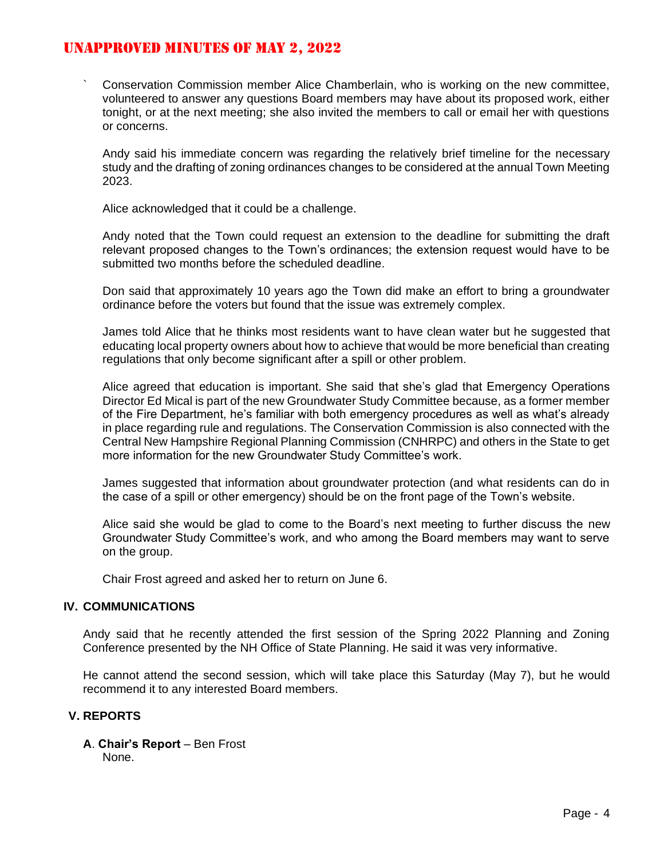` Conservation Commission member Alice Chamberlain, who is working on the new committee, volunteered to answer any questions Board members may have about its proposed work, either tonight, or at the next meeting; she also invited the members to call or email her with questions or concerns.

Andy said his immediate concern was regarding the relatively brief timeline for the necessary study and the drafting of zoning ordinances changes to be considered at the annual Town Meeting 2023.

Alice acknowledged that it could be a challenge.

Andy noted that the Town could request an extension to the deadline for submitting the draft relevant proposed changes to the Town's ordinances; the extension request would have to be submitted two months before the scheduled deadline.

Don said that approximately 10 years ago the Town did make an effort to bring a groundwater ordinance before the voters but found that the issue was extremely complex.

James told Alice that he thinks most residents want to have clean water but he suggested that educating local property owners about how to achieve that would be more beneficial than creating regulations that only become significant after a spill or other problem.

Alice agreed that education is important. She said that she's glad that Emergency Operations Director Ed Mical is part of the new Groundwater Study Committee because, as a former member of the Fire Department, he's familiar with both emergency procedures as well as what's already in place regarding rule and regulations. The Conservation Commission is also connected with the Central New Hampshire Regional Planning Commission (CNHRPC) and others in the State to get more information for the new Groundwater Study Committee's work.

James suggested that information about groundwater protection (and what residents can do in the case of a spill or other emergency) should be on the front page of the Town's website.

Alice said she would be glad to come to the Board's next meeting to further discuss the new Groundwater Study Committee's work, and who among the Board members may want to serve on the group.

Chair Frost agreed and asked her to return on June 6.

#### **IV. COMMUNICATIONS**

Andy said that he recently attended the first session of the Spring 2022 Planning and Zoning Conference presented by the NH Office of State Planning. He said it was very informative.

He cannot attend the second session, which will take place this Saturday (May 7), but he would recommend it to any interested Board members.

## **V. REPORTS**

**A**. **Chair's Report** – Ben Frost None.